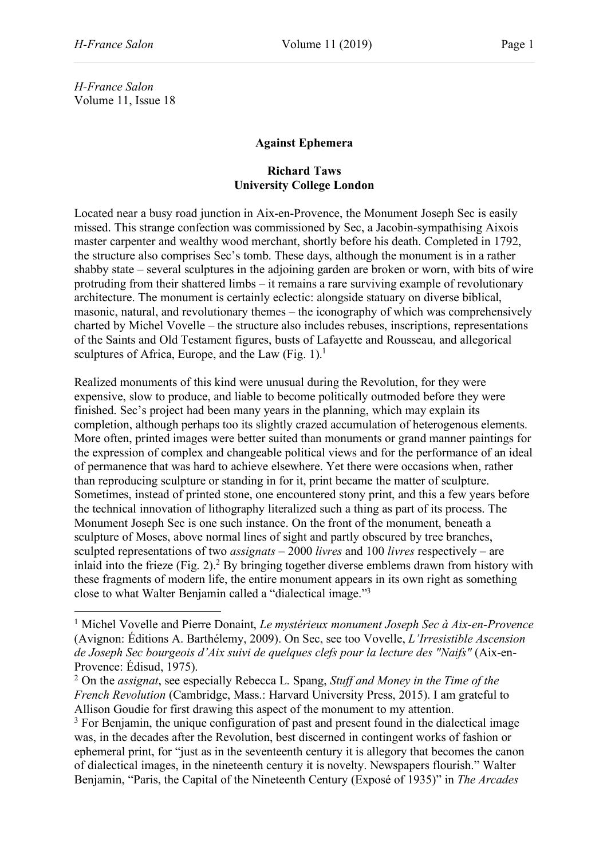*H-France Salon* Volume 11, Issue 18

## **Against Ephemera**

## **Richard Taws University College London**

Located near a busy road junction in Aix-en-Provence, the Monument Joseph Sec is easily missed. This strange confection was commissioned by Sec, a Jacobin-sympathising Aixois master carpenter and wealthy wood merchant, shortly before his death. Completed in 1792, the structure also comprises Sec's tomb. These days, although the monument is in a rather shabby state – several sculptures in the adjoining garden are broken or worn, with bits of wire protruding from their shattered limbs – it remains a rare surviving example of revolutionary architecture. The monument is certainly eclectic: alongside statuary on diverse biblical, masonic, natural, and revolutionary themes – the iconography of which was comprehensively charted by Michel Vovelle – the structure also includes rebuses, inscriptions, representations of the Saints and Old Testament figures, busts of Lafayette and Rousseau, and allegorical sculptures of Africa, Europe, and the Law  $(Fig. 1)$ .<sup>1</sup>

Realized monuments of this kind were unusual during the Revolution, for they were expensive, slow to produce, and liable to become politically outmoded before they were finished. Sec's project had been many years in the planning, which may explain its completion, although perhaps too its slightly crazed accumulation of heterogenous elements. More often, printed images were better suited than monuments or grand manner paintings for the expression of complex and changeable political views and for the performance of an ideal of permanence that was hard to achieve elsewhere. Yet there were occasions when, rather than reproducing sculpture or standing in for it, print became the matter of sculpture. Sometimes, instead of printed stone, one encountered stony print, and this a few years before the technical innovation of lithography literalized such a thing as part of its process. The Monument Joseph Sec is one such instance. On the front of the monument, beneath a sculpture of Moses, above normal lines of sight and partly obscured by tree branches, sculpted representations of two *assignats* – 2000 *livres* and 100 *livres* respectively – are inlaid into the frieze (Fig. 2).<sup>2</sup> By bringing together diverse emblems drawn from history with these fragments of modern life, the entire monument appears in its own right as something close to what Walter Benjamin called a "dialectical image."3

<sup>1</sup> Michel Vovelle and Pierre Donaint, *Le mystérieux monument Joseph Sec à Aix-en-Provence* (Avignon: Éditions A. Barthélemy, 2009). On Sec, see too Vovelle, *L'Irresistible Ascension de Joseph Sec bourgeois d'Aix suivi de quelques clefs pour la lecture des "Naifs"* (Aix-en-Provence: Édisud, 1975).

<sup>2</sup> On the *assignat*, see especially Rebecca L. Spang, *Stuff and Money in the Time of the French Revolution* (Cambridge, Mass.: Harvard University Press, 2015). I am grateful to Allison Goudie for first drawing this aspect of the monument to my attention.

<sup>&</sup>lt;sup>3</sup> For Benjamin, the unique configuration of past and present found in the dialectical image was, in the decades after the Revolution, best discerned in contingent works of fashion or ephemeral print, for "just as in the seventeenth century it is allegory that becomes the canon of dialectical images, in the nineteenth century it is novelty. Newspapers flourish." Walter Benjamin, "Paris, the Capital of the Nineteenth Century (Exposé of 1935)" in *The Arcades*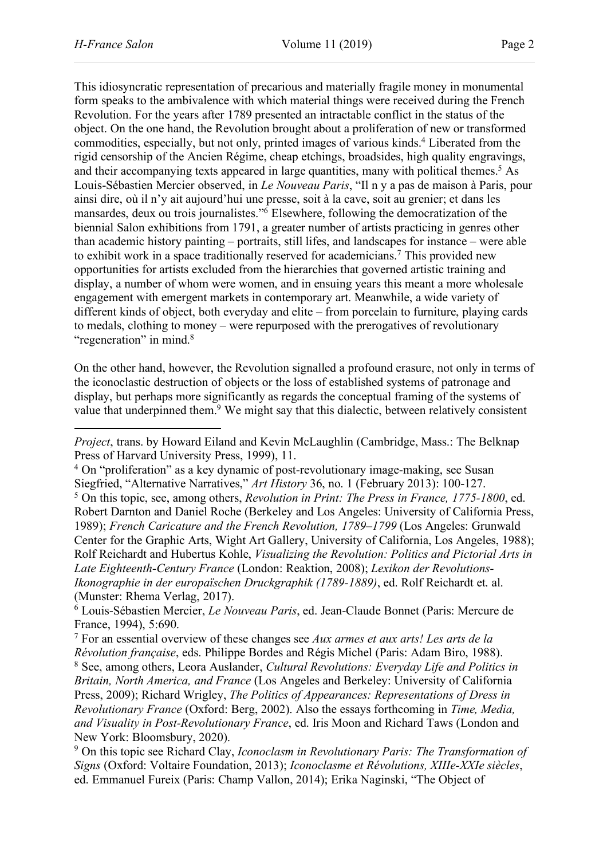This idiosyncratic representation of precarious and materially fragile money in monumental form speaks to the ambivalence with which material things were received during the French Revolution. For the years after 1789 presented an intractable conflict in the status of the object. On the one hand, the Revolution brought about a proliferation of new or transformed commodities, especially, but not only, printed images of various kinds.4 Liberated from the rigid censorship of the Ancien Régime, cheap etchings, broadsides, high quality engravings, and their accompanying texts appeared in large quantities, many with political themes.<sup>5</sup> As Louis-Sébastien Mercier observed, in *Le Nouveau Paris*, "Il n y a pas de maison à Paris, pour ainsi dire, où il n'y ait aujourd'hui une presse, soit à la cave, soit au grenier; et dans les mansardes, deux ou trois journalistes."6 Elsewhere, following the democratization of the biennial Salon exhibitions from 1791, a greater number of artists practicing in genres other than academic history painting – portraits, still lifes, and landscapes for instance – were able to exhibit work in a space traditionally reserved for academicians.7 This provided new opportunities for artists excluded from the hierarchies that governed artistic training and display, a number of whom were women, and in ensuing years this meant a more wholesale engagement with emergent markets in contemporary art. Meanwhile, a wide variety of different kinds of object, both everyday and elite – from porcelain to furniture, playing cards to medals, clothing to money – were repurposed with the prerogatives of revolutionary "regeneration" in mind.<sup>8</sup>

On the other hand, however, the Revolution signalled a profound erasure, not only in terms of the iconoclastic destruction of objects or the loss of established systems of patronage and display, but perhaps more significantly as regards the conceptual framing of the systems of value that underpinned them.<sup>9</sup> We might say that this dialectic, between relatively consistent

*Project*, trans. by Howard Eiland and Kevin McLaughlin (Cambridge, Mass.: The Belknap Press of Harvard University Press, 1999), 11.

<sup>4</sup> On "proliferation" as a key dynamic of post-revolutionary image-making, see Susan Siegfried, "Alternative Narratives," *Art History* 36, no. 1 (February 2013): 100-127. <sup>5</sup> On this topic, see, among others, *Revolution in Print: The Press in France, 1775-1800*, ed. Robert Darnton and Daniel Roche (Berkeley and Los Angeles: University of California Press, 1989); *French Caricature and the French Revolution, 1789–1799* (Los Angeles: Grunwald Center for the Graphic Arts, Wight Art Gallery, University of California, Los Angeles, 1988); Rolf Reichardt and Hubertus Kohle, *Visualizing the Revolution: Politics and Pictorial Arts in Late Eighteenth-Century France* (London: Reaktion, 2008); *Lexikon der Revolutions-Ikonographie in der europaïschen Druckgraphik (1789-1889)*, ed. Rolf Reichardt et. al. (Munster: Rhema Verlag, 2017).

<sup>6</sup> Louis-Sébastien Mercier, *Le Nouveau Paris*, ed. Jean-Claude Bonnet (Paris: Mercure de France, 1994), 5:690.

<sup>7</sup> For an essential overview of these changes see *Aux armes et aux arts! Les arts de la Révolution française*, eds. Philippe Bordes and Régis Michel (Paris: Adam Biro, 1988). <sup>8</sup> See, among others, Leora Auslander, *Cultural Revolutions: Everyday Life and Politics in Britain, North America, and France* (Los Angeles and Berkeley: University of California Press, 2009); Richard Wrigley, *The Politics of Appearances: Representations of Dress in Revolutionary France* (Oxford: Berg, 2002). Also the essays forthcoming in *Time, Media, and Visuality in Post-Revolutionary France*, ed. Iris Moon and Richard Taws (London and New York: Bloomsbury, 2020).

<sup>9</sup> On this topic see Richard Clay, *Iconoclasm in Revolutionary Paris: The Transformation of Signs* (Oxford: Voltaire Foundation, 2013); *Iconoclasme et Révolutions, XIIIe-XXIe siècles*, ed. Emmanuel Fureix (Paris: Champ Vallon, 2014); Erika Naginski, "The Object of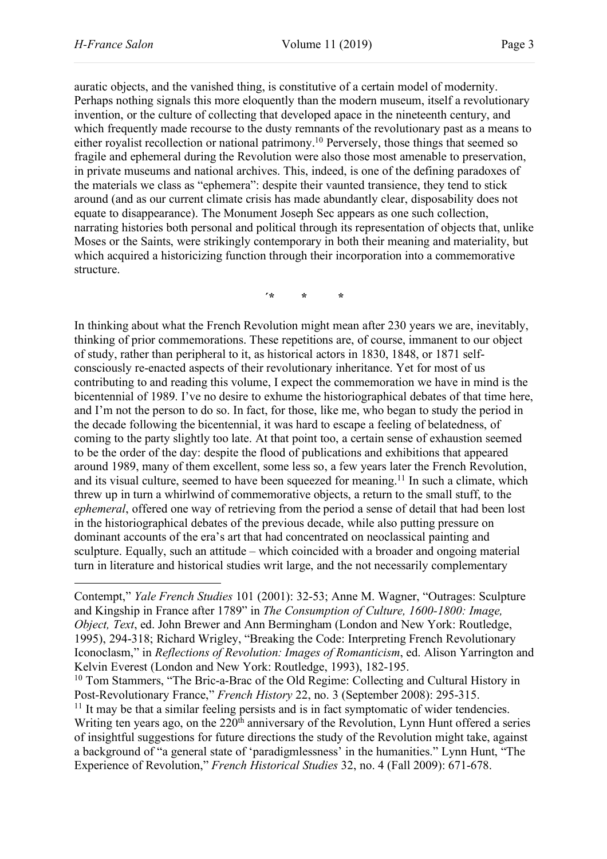auratic objects, and the vanished thing, is constitutive of a certain model of modernity. Perhaps nothing signals this more eloquently than the modern museum, itself a revolutionary invention, or the culture of collecting that developed apace in the nineteenth century, and which frequently made recourse to the dusty remnants of the revolutionary past as a means to either royalist recollection or national patrimony.<sup>10</sup> Perversely, those things that seemed so fragile and ephemeral during the Revolution were also those most amenable to preservation, in private museums and national archives. This, indeed, is one of the defining paradoxes of the materials we class as "ephemera": despite their vaunted transience, they tend to stick around (and as our current climate crisis has made abundantly clear, disposability does not equate to disappearance). The Monument Joseph Sec appears as one such collection, narrating histories both personal and political through its representation of objects that, unlike Moses or the Saints, were strikingly contemporary in both their meaning and materiality, but which acquired a historicizing function through their incorporation into a commemorative structure.

**´\* \* \***

In thinking about what the French Revolution might mean after 230 years we are, inevitably, thinking of prior commemorations. These repetitions are, of course, immanent to our object of study, rather than peripheral to it, as historical actors in 1830, 1848, or 1871 selfconsciously re-enacted aspects of their revolutionary inheritance. Yet for most of us contributing to and reading this volume, I expect the commemoration we have in mind is the bicentennial of 1989. I've no desire to exhume the historiographical debates of that time here, and I'm not the person to do so. In fact, for those, like me, who began to study the period in the decade following the bicentennial, it was hard to escape a feeling of belatedness, of coming to the party slightly too late. At that point too, a certain sense of exhaustion seemed to be the order of the day: despite the flood of publications and exhibitions that appeared around 1989, many of them excellent, some less so, a few years later the French Revolution, and its visual culture, seemed to have been squeezed for meaning.<sup>11</sup> In such a climate, which threw up in turn a whirlwind of commemorative objects, a return to the small stuff, to the *ephemeral*, offered one way of retrieving from the period a sense of detail that had been lost in the historiographical debates of the previous decade, while also putting pressure on dominant accounts of the era's art that had concentrated on neoclassical painting and sculpture. Equally, such an attitude – which coincided with a broader and ongoing material turn in literature and historical studies writ large, and the not necessarily complementary

 $11$  It may be that a similar feeling persists and is in fact symptomatic of wider tendencies. Writing ten years ago, on the 220<sup>th</sup> anniversary of the Revolution, Lynn Hunt offered a series of insightful suggestions for future directions the study of the Revolution might take, against a background of "a general state of 'paradigmlessness' in the humanities." Lynn Hunt, "The Experience of Revolution," *French Historical Studies* 32, no. 4 (Fall 2009): 671-678.

Contempt," *Yale French Studies* 101 (2001): 32-53; Anne M. Wagner, "Outrages: Sculpture and Kingship in France after 1789" in *The Consumption of Culture, 1600-1800: Image, Object, Text*, ed. John Brewer and Ann Bermingham (London and New York: Routledge, 1995), 294-318; Richard Wrigley, "Breaking the Code: Interpreting French Revolutionary Iconoclasm," in *Reflections of Revolution: Images of Romanticism*, ed. Alison Yarrington and Kelvin Everest (London and New York: Routledge, 1993), 182-195.

<sup>&</sup>lt;sup>10</sup> Tom Stammers, "The Bric-a-Brac of the Old Regime: Collecting and Cultural History in Post-Revolutionary France," *French History* 22, no. 3 (September 2008): 295-315.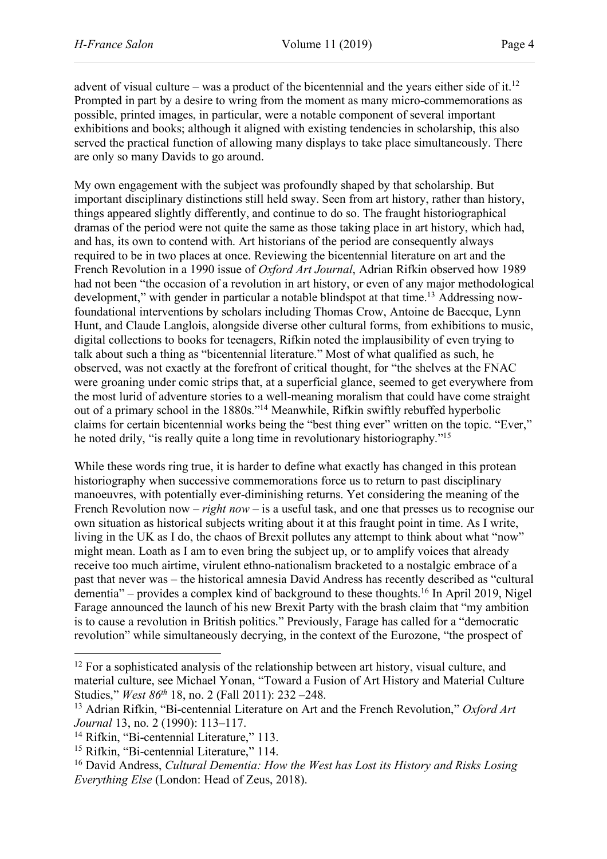advent of visual culture – was a product of the bicentennial and the years either side of it.<sup>12</sup> Prompted in part by a desire to wring from the moment as many micro-commemorations as possible, printed images, in particular, were a notable component of several important exhibitions and books; although it aligned with existing tendencies in scholarship, this also served the practical function of allowing many displays to take place simultaneously. There are only so many Davids to go around.

My own engagement with the subject was profoundly shaped by that scholarship. But important disciplinary distinctions still held sway. Seen from art history, rather than history, things appeared slightly differently, and continue to do so. The fraught historiographical dramas of the period were not quite the same as those taking place in art history, which had, and has, its own to contend with. Art historians of the period are consequently always required to be in two places at once. Reviewing the bicentennial literature on art and the French Revolution in a 1990 issue of *Oxford Art Journal*, Adrian Rifkin observed how 1989 had not been "the occasion of a revolution in art history, or even of any major methodological development," with gender in particular a notable blindspot at that time.<sup>13</sup> Addressing nowfoundational interventions by scholars including Thomas Crow, Antoine de Baecque, Lynn Hunt, and Claude Langlois, alongside diverse other cultural forms, from exhibitions to music, digital collections to books for teenagers, Rifkin noted the implausibility of even trying to talk about such a thing as "bicentennial literature." Most of what qualified as such, he observed, was not exactly at the forefront of critical thought, for "the shelves at the FNAC were groaning under comic strips that, at a superficial glance, seemed to get everywhere from the most lurid of adventure stories to a well-meaning moralism that could have come straight out of a primary school in the 1880s."14 Meanwhile, Rifkin swiftly rebuffed hyperbolic claims for certain bicentennial works being the "best thing ever" written on the topic. "Ever," he noted drily, "is really quite a long time in revolutionary historiography."15

While these words ring true, it is harder to define what exactly has changed in this protean historiography when successive commemorations force us to return to past disciplinary manoeuvres, with potentially ever-diminishing returns. Yet considering the meaning of the French Revolution now – *right now* – is a useful task, and one that presses us to recognise our own situation as historical subjects writing about it at this fraught point in time. As I write, living in the UK as I do, the chaos of Brexit pollutes any attempt to think about what "now" might mean. Loath as I am to even bring the subject up, or to amplify voices that already receive too much airtime, virulent ethno-nationalism bracketed to a nostalgic embrace of a past that never was – the historical amnesia David Andress has recently described as "cultural dementia" – provides a complex kind of background to these thoughts.16 In April 2019, Nigel Farage announced the launch of his new Brexit Party with the brash claim that "my ambition is to cause a revolution in British politics." Previously, Farage has called for a "democratic revolution" while simultaneously decrying, in the context of the Eurozone, "the prospect of

 $\overline{a}$ 

 $12$  For a sophisticated analysis of the relationship between art history, visual culture, and material culture, see Michael Yonan, "Toward a Fusion of Art History and Material Culture Studies," *West 86th* 18, no. 2 (Fall 2011): 232 –248.

<sup>13</sup> Adrian Rifkin, "Bi-centennial Literature on Art and the French Revolution," *Oxford Art Journal* 13, no. 2 (1990): 113–117.

<sup>&</sup>lt;sup>14</sup> Rifkin, "Bi-centennial Literature," 113.

<sup>&</sup>lt;sup>15</sup> Rifkin, "Bi-centennial Literature," 114.

<sup>16</sup> David Andress, *Cultural Dementia: How the West has Lost its History and Risks Losing Everything Else* (London: Head of Zeus, 2018).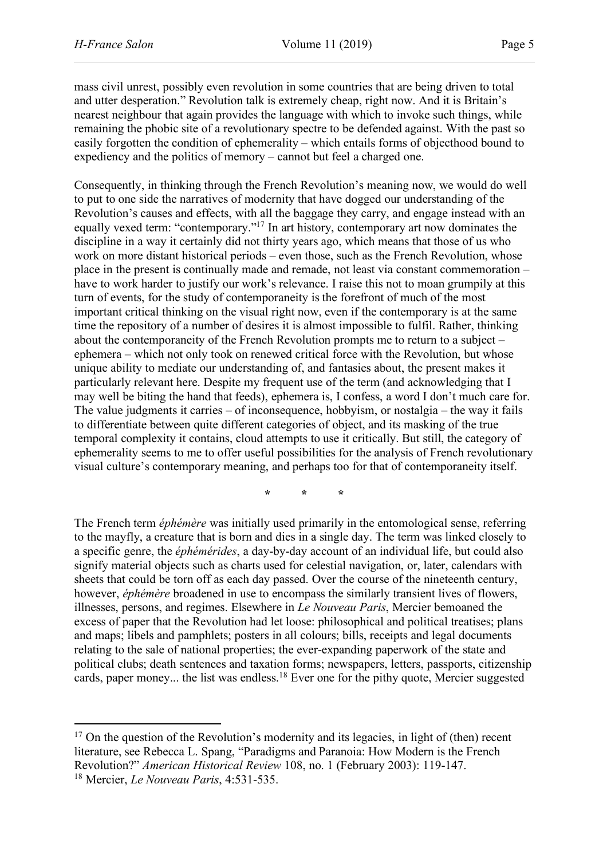mass civil unrest, possibly even revolution in some countries that are being driven to total and utter desperation." Revolution talk is extremely cheap, right now. And it is Britain's nearest neighbour that again provides the language with which to invoke such things, while remaining the phobic site of a revolutionary spectre to be defended against. With the past so easily forgotten the condition of ephemerality – which entails forms of objecthood bound to expediency and the politics of memory – cannot but feel a charged one.

Consequently, in thinking through the French Revolution's meaning now, we would do well to put to one side the narratives of modernity that have dogged our understanding of the Revolution's causes and effects, with all the baggage they carry, and engage instead with an equally vexed term: "contemporary."17 In art history, contemporary art now dominates the discipline in a way it certainly did not thirty years ago, which means that those of us who work on more distant historical periods – even those, such as the French Revolution, whose place in the present is continually made and remade, not least via constant commemoration – have to work harder to justify our work's relevance. I raise this not to moan grumpily at this turn of events, for the study of contemporaneity is the forefront of much of the most important critical thinking on the visual right now, even if the contemporary is at the same time the repository of a number of desires it is almost impossible to fulfil. Rather, thinking about the contemporaneity of the French Revolution prompts me to return to a subject – ephemera – which not only took on renewed critical force with the Revolution, but whose unique ability to mediate our understanding of, and fantasies about, the present makes it particularly relevant here. Despite my frequent use of the term (and acknowledging that I may well be biting the hand that feeds), ephemera is, I confess, a word I don't much care for. The value judgments it carries – of inconsequence, hobbyism, or nostalgia – the way it fails to differentiate between quite different categories of object, and its masking of the true temporal complexity it contains, cloud attempts to use it critically. But still, the category of ephemerality seems to me to offer useful possibilities for the analysis of French revolutionary visual culture's contemporary meaning, and perhaps too for that of contemporaneity itself.

**\* \* \***

The French term *éphémère* was initially used primarily in the entomological sense, referring to the mayfly, a creature that is born and dies in a single day. The term was linked closely to a specific genre, the *éphémérides*, a day-by-day account of an individual life, but could also signify material objects such as charts used for celestial navigation, or, later, calendars with sheets that could be torn off as each day passed. Over the course of the nineteenth century, however, *éphémère* broadened in use to encompass the similarly transient lives of flowers, illnesses, persons, and regimes. Elsewhere in *Le Nouveau Paris*, Mercier bemoaned the excess of paper that the Revolution had let loose: philosophical and political treatises; plans and maps; libels and pamphlets; posters in all colours; bills, receipts and legal documents relating to the sale of national properties; the ever-expanding paperwork of the state and political clubs; death sentences and taxation forms; newspapers, letters, passports, citizenship cards, paper money... the list was endless.<sup>18</sup> Ever one for the pithy quote, Mercier suggested

<sup>&</sup>lt;sup>17</sup> On the question of the Revolution's modernity and its legacies, in light of (then) recent literature, see Rebecca L. Spang, "Paradigms and Paranoia: How Modern is the French Revolution?" *American Historical Review* 108, no. 1 (February 2003): 119-147. <sup>18</sup> Mercier, *Le Nouveau Paris*, 4:531-535.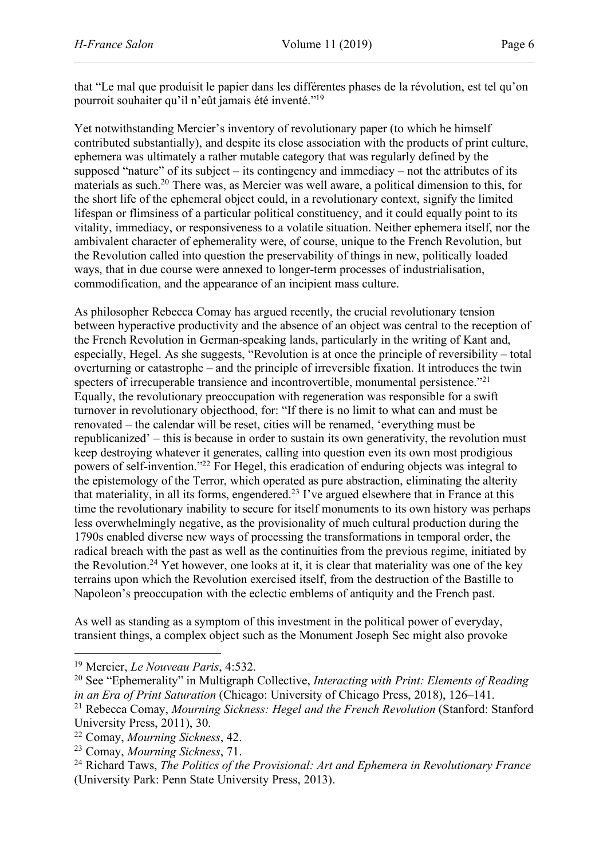that "Le mal que produisit le papier dans les différentes phases de la révolution, est tel qu'on pourroit souhaiter qu'il n'eût jamais été inventé."19

Yet notwithstanding Mercier's inventory of revolutionary paper (to which he himself contributed substantially), and despite its close association with the products of print culture, ephemera was ultimately a rather mutable category that was regularly defined by the supposed "nature" of its subject – its contingency and immediacy – not the attributes of its materials as such.20 There was, as Mercier was well aware, a political dimension to this, for the short life of the ephemeral object could, in a revolutionary context, signify the limited lifespan or flimsiness of a particular political constituency, and it could equally point to its vitality, immediacy, or responsiveness to a volatile situation. Neither ephemera itself, nor the ambivalent character of ephemerality were, of course, unique to the French Revolution, but the Revolution called into question the preservability of things in new, politically loaded ways, that in due course were annexed to longer-term processes of industrialisation, commodification, and the appearance of an incipient mass culture.

As philosopher Rebecca Comay has argued recently, the crucial revolutionary tension between hyperactive productivity and the absence of an object was central to the reception of the French Revolution in German-speaking lands, particularly in the writing of Kant and, especially, Hegel. As she suggests, "Revolution is at once the principle of reversibility – total overturning or catastrophe – and the principle of irreversible fixation. It introduces the twin specters of irrecuperable transience and incontrovertible, monumental persistence."<sup>21</sup> Equally, the revolutionary preoccupation with regeneration was responsible for a swift turnover in revolutionary objecthood, for: "If there is no limit to what can and must be renovated – the calendar will be reset, cities will be renamed, 'everything must be republicanized' – this is because in order to sustain its own generativity, the revolution must keep destroying whatever it generates, calling into question even its own most prodigious powers of self-invention."22 For Hegel, this eradication of enduring objects was integral to the epistemology of the Terror, which operated as pure abstraction, eliminating the alterity that materiality, in all its forms, engendered.<sup>23</sup> I've argued elsewhere that in France at this time the revolutionary inability to secure for itself monuments to its own history was perhaps less overwhelmingly negative, as the provisionality of much cultural production during the 1790s enabled diverse new ways of processing the transformations in temporal order, the radical breach with the past as well as the continuities from the previous regime, initiated by the Revolution.<sup>24</sup> Yet however, one looks at it, it is clear that materiality was one of the key terrains upon which the Revolution exercised itself, from the destruction of the Bastille to Napoleon's preoccupation with the eclectic emblems of antiquity and the French past.

As well as standing as a symptom of this investment in the political power of everyday, transient things, a complex object such as the Monument Joseph Sec might also provoke

 $\overline{a}$ 

<sup>19</sup> Mercier, *Le Nouveau Paris*, 4:532.

<sup>20</sup> See "Ephemerality" in Multigraph Collective, *Interacting with Print: Elements of Reading in an Era of Print Saturation* (Chicago: University of Chicago Press, 2018), 126–141.

<sup>21</sup> Rebecca Comay, *Mourning Sickness: Hegel and the French Revolution* (Stanford: Stanford University Press, 2011), 30.

<sup>22</sup> Comay, *Mourning Sickness*, 42.

<sup>23</sup> Comay, *Mourning Sickness*, 71.

<sup>24</sup> Richard Taws, *The Politics of the Provisional: Art and Ephemera in Revolutionary France* (University Park: Penn State University Press, 2013).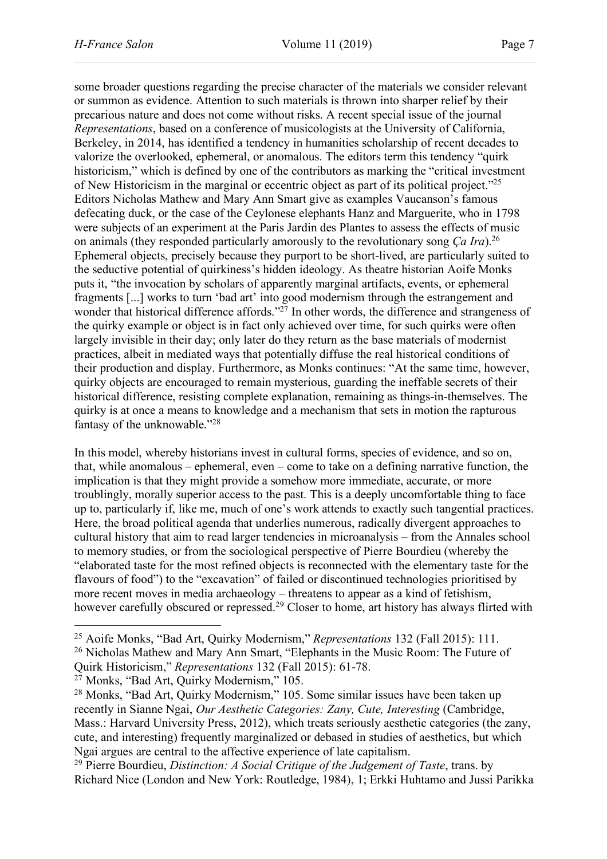some broader questions regarding the precise character of the materials we consider relevant or summon as evidence. Attention to such materials is thrown into sharper relief by their precarious nature and does not come without risks. A recent special issue of the journal *Representations*, based on a conference of musicologists at the University of California, Berkeley, in 2014, has identified a tendency in humanities scholarship of recent decades to valorize the overlooked, ephemeral, or anomalous. The editors term this tendency "quirk historicism," which is defined by one of the contributors as marking the "critical investment" of New Historicism in the marginal or eccentric object as part of its political project."25 Editors Nicholas Mathew and Mary Ann Smart give as examples Vaucanson's famous defecating duck, or the case of the Ceylonese elephants Hanz and Marguerite, who in 1798 were subjects of an experiment at the Paris Jardin des Plantes to assess the effects of music on animals (they responded particularly amorously to the revolutionary song *Ça Ira*).26 Ephemeral objects, precisely because they purport to be short-lived, are particularly suited to the seductive potential of quirkiness's hidden ideology. As theatre historian Aoife Monks puts it, "the invocation by scholars of apparently marginal artifacts, events, or ephemeral fragments [...] works to turn 'bad art' into good modernism through the estrangement and wonder that historical difference affords."<sup>27</sup> In other words, the difference and strangeness of the quirky example or object is in fact only achieved over time, for such quirks were often largely invisible in their day; only later do they return as the base materials of modernist practices, albeit in mediated ways that potentially diffuse the real historical conditions of their production and display. Furthermore, as Monks continues: "At the same time, however, quirky objects are encouraged to remain mysterious, guarding the ineffable secrets of their historical difference, resisting complete explanation, remaining as things-in-themselves. The quirky is at once a means to knowledge and a mechanism that sets in motion the rapturous fantasy of the unknowable."28

In this model, whereby historians invest in cultural forms, species of evidence, and so on, that, while anomalous – ephemeral, even – come to take on a defining narrative function, the implication is that they might provide a somehow more immediate, accurate, or more troublingly, morally superior access to the past. This is a deeply uncomfortable thing to face up to, particularly if, like me, much of one's work attends to exactly such tangential practices. Here, the broad political agenda that underlies numerous, radically divergent approaches to cultural history that aim to read larger tendencies in microanalysis – from the Annales school to memory studies, or from the sociological perspective of Pierre Bourdieu (whereby the "elaborated taste for the most refined objects is reconnected with the elementary taste for the flavours of food") to the "excavation" of failed or discontinued technologies prioritised by more recent moves in media archaeology – threatens to appear as a kind of fetishism, however carefully obscured or repressed.<sup>29</sup> Closer to home, art history has always flirted with

 $\overline{a}$ 

<sup>25</sup> Aoife Monks, "Bad Art, Quirky Modernism," *Representations* 132 (Fall 2015): 111.

<sup>26</sup> Nicholas Mathew and Mary Ann Smart, "Elephants in the Music Room: The Future of Quirk Historicism," *Representations* 132 (Fall 2015): 61-78.

<sup>27</sup> Monks, "Bad Art, Quirky Modernism," 105.

<sup>&</sup>lt;sup>28</sup> Monks, "Bad Art, Quirky Modernism," 105. Some similar issues have been taken up recently in Sianne Ngai, *Our Aesthetic Categories: Zany, Cute, Interesting* (Cambridge, Mass.: Harvard University Press, 2012), which treats seriously aesthetic categories (the zany, cute, and interesting) frequently marginalized or debased in studies of aesthetics, but which Ngai argues are central to the affective experience of late capitalism.

<sup>29</sup> Pierre Bourdieu, *Distinction: A Social Critique of the Judgement of Taste*, trans. by Richard Nice (London and New York: Routledge, 1984), 1; Erkki Huhtamo and Jussi Parikka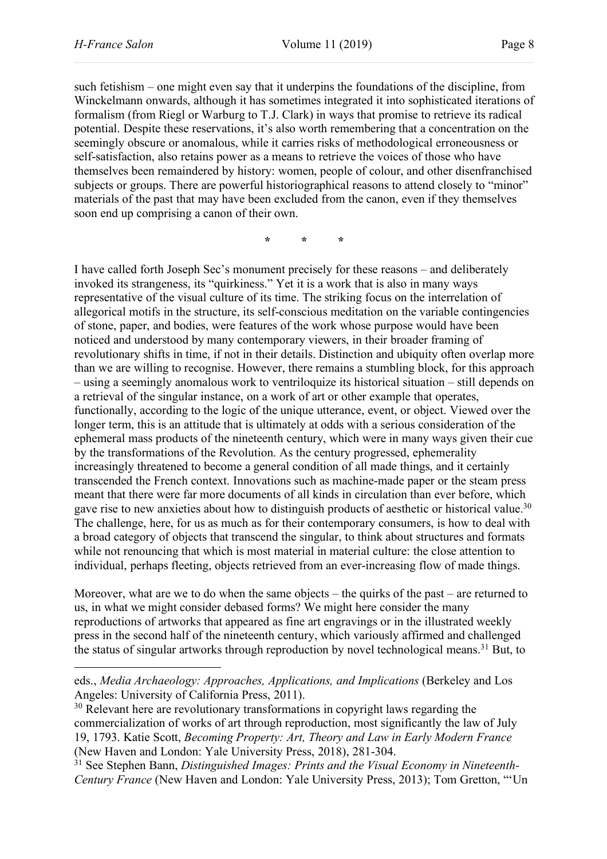$\overline{\phantom{a}}$ 

such fetishism – one might even say that it underpins the foundations of the discipline, from Winckelmann onwards, although it has sometimes integrated it into sophisticated iterations of formalism (from Riegl or Warburg to T.J. Clark) in ways that promise to retrieve its radical potential. Despite these reservations, it's also worth remembering that a concentration on the seemingly obscure or anomalous, while it carries risks of methodological erroneousness or self-satisfaction, also retains power as a means to retrieve the voices of those who have themselves been remaindered by history: women, people of colour, and other disenfranchised subjects or groups. There are powerful historiographical reasons to attend closely to "minor" materials of the past that may have been excluded from the canon, even if they themselves soon end up comprising a canon of their own.

**\* \* \***

I have called forth Joseph Sec's monument precisely for these reasons – and deliberately invoked its strangeness, its "quirkiness." Yet it is a work that is also in many ways representative of the visual culture of its time. The striking focus on the interrelation of allegorical motifs in the structure, its self-conscious meditation on the variable contingencies of stone, paper, and bodies, were features of the work whose purpose would have been noticed and understood by many contemporary viewers, in their broader framing of revolutionary shifts in time, if not in their details. Distinction and ubiquity often overlap more than we are willing to recognise. However, there remains a stumbling block, for this approach – using a seemingly anomalous work to ventriloquize its historical situation – still depends on a retrieval of the singular instance, on a work of art or other example that operates, functionally, according to the logic of the unique utterance, event, or object. Viewed over the longer term, this is an attitude that is ultimately at odds with a serious consideration of the ephemeral mass products of the nineteenth century, which were in many ways given their cue by the transformations of the Revolution. As the century progressed, ephemerality increasingly threatened to become a general condition of all made things, and it certainly transcended the French context. Innovations such as machine-made paper or the steam press meant that there were far more documents of all kinds in circulation than ever before, which gave rise to new anxieties about how to distinguish products of aesthetic or historical value.<sup>30</sup> The challenge, here, for us as much as for their contemporary consumers, is how to deal with a broad category of objects that transcend the singular, to think about structures and formats while not renouncing that which is most material in material culture: the close attention to individual, perhaps fleeting, objects retrieved from an ever-increasing flow of made things.

Moreover, what are we to do when the same objects – the quirks of the past – are returned to us, in what we might consider debased forms? We might here consider the many reproductions of artworks that appeared as fine art engravings or in the illustrated weekly press in the second half of the nineteenth century, which variously affirmed and challenged the status of singular artworks through reproduction by novel technological means.31 But, to

eds., *Media Archaeology: Approaches, Applications, and Implications* (Berkeley and Los Angeles: University of California Press, 2011).

<sup>&</sup>lt;sup>30</sup> Relevant here are revolutionary transformations in copyright laws regarding the commercialization of works of art through reproduction, most significantly the law of July 19, 1793. Katie Scott, *Becoming Property: Art, Theory and Law in Early Modern France* (New Haven and London: Yale University Press, 2018), 281-304.

<sup>31</sup> See Stephen Bann, *Distinguished Images: Prints and the Visual Economy in Nineteenth-Century France* (New Haven and London: Yale University Press, 2013); Tom Gretton, "'Un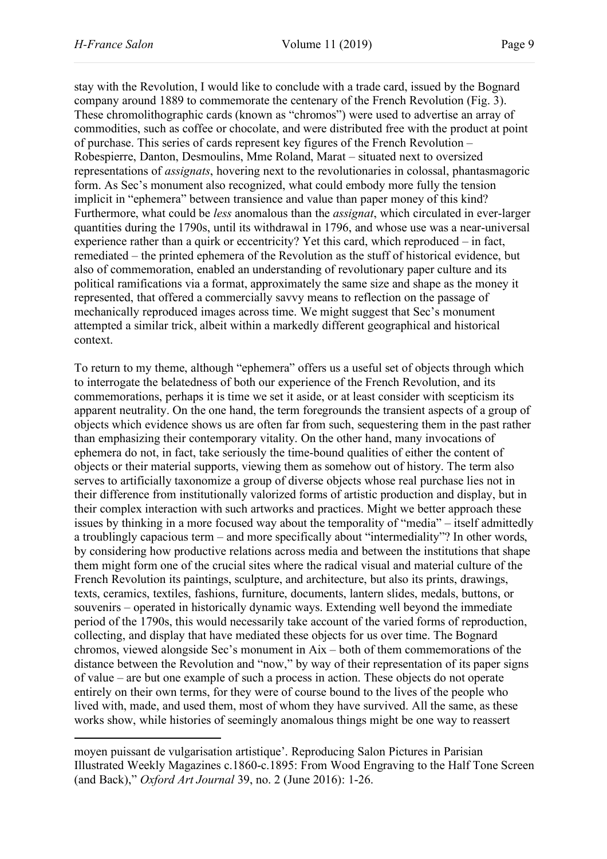stay with the Revolution, I would like to conclude with a trade card, issued by the Bognard company around 1889 to commemorate the centenary of the French Revolution (Fig. 3). These chromolithographic cards (known as "chromos") were used to advertise an array of commodities, such as coffee or chocolate, and were distributed free with the product at point of purchase. This series of cards represent key figures of the French Revolution – Robespierre, Danton, Desmoulins, Mme Roland, Marat – situated next to oversized representations of *assignats*, hovering next to the revolutionaries in colossal, phantasmagoric form. As Sec's monument also recognized, what could embody more fully the tension implicit in "ephemera" between transience and value than paper money of this kind? Furthermore, what could be *less* anomalous than the *assignat*, which circulated in ever-larger quantities during the 1790s, until its withdrawal in 1796, and whose use was a near-universal experience rather than a quirk or eccentricity? Yet this card, which reproduced – in fact, remediated – the printed ephemera of the Revolution as the stuff of historical evidence, but also of commemoration, enabled an understanding of revolutionary paper culture and its political ramifications via a format, approximately the same size and shape as the money it represented, that offered a commercially savvy means to reflection on the passage of mechanically reproduced images across time. We might suggest that Sec's monument attempted a similar trick, albeit within a markedly different geographical and historical context.

To return to my theme, although "ephemera" offers us a useful set of objects through which to interrogate the belatedness of both our experience of the French Revolution, and its commemorations, perhaps it is time we set it aside, or at least consider with scepticism its apparent neutrality. On the one hand, the term foregrounds the transient aspects of a group of objects which evidence shows us are often far from such, sequestering them in the past rather than emphasizing their contemporary vitality. On the other hand, many invocations of ephemera do not, in fact, take seriously the time-bound qualities of either the content of objects or their material supports, viewing them as somehow out of history. The term also serves to artificially taxonomize a group of diverse objects whose real purchase lies not in their difference from institutionally valorized forms of artistic production and display, but in their complex interaction with such artworks and practices. Might we better approach these issues by thinking in a more focused way about the temporality of "media" – itself admittedly a troublingly capacious term – and more specifically about "intermediality"? In other words, by considering how productive relations across media and between the institutions that shape them might form one of the crucial sites where the radical visual and material culture of the French Revolution its paintings, sculpture, and architecture, but also its prints, drawings, texts, ceramics, textiles, fashions, furniture, documents, lantern slides, medals, buttons, or souvenirs – operated in historically dynamic ways. Extending well beyond the immediate period of the 1790s, this would necessarily take account of the varied forms of reproduction, collecting, and display that have mediated these objects for us over time. The Bognard chromos, viewed alongside Sec's monument in Aix – both of them commemorations of the distance between the Revolution and "now," by way of their representation of its paper signs of value – are but one example of such a process in action. These objects do not operate entirely on their own terms, for they were of course bound to the lives of the people who lived with, made, and used them, most of whom they have survived. All the same, as these works show, while histories of seemingly anomalous things might be one way to reassert

moyen puissant de vulgarisation artistique'. Reproducing Salon Pictures in Parisian Illustrated Weekly Magazines c.1860-c.1895: From Wood Engraving to the Half Tone Screen (and Back)," *Oxford Art Journal* 39, no. 2 (June 2016): 1-26.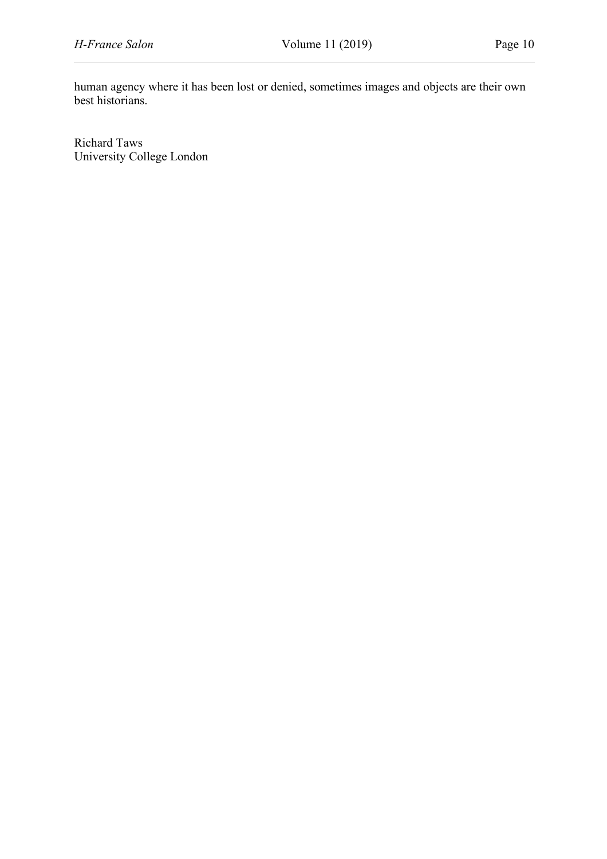human agency where it has been lost or denied, sometimes images and objects are their own best historians.

Richard Taws University College London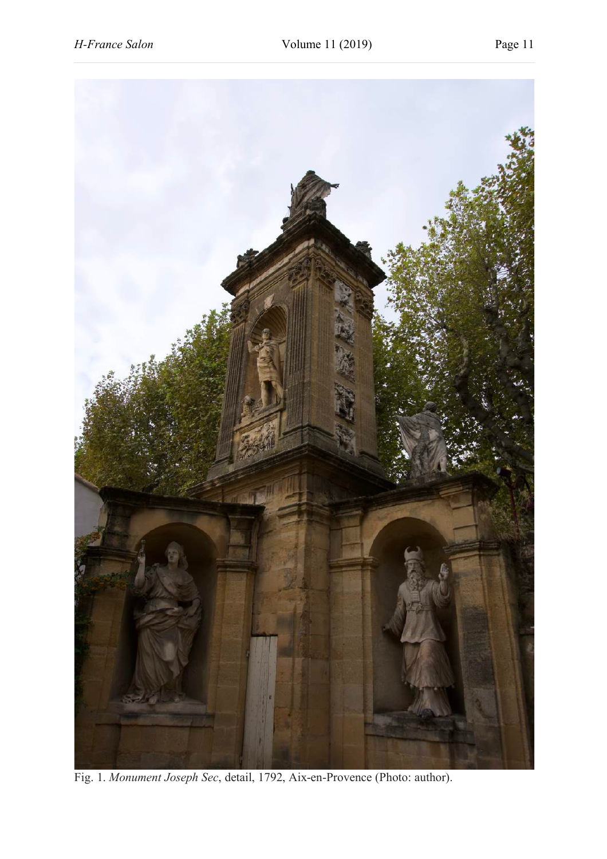

Fig. 1. *Monument Joseph Sec*, detail, 1792, Aix-en-Provence (Photo: author).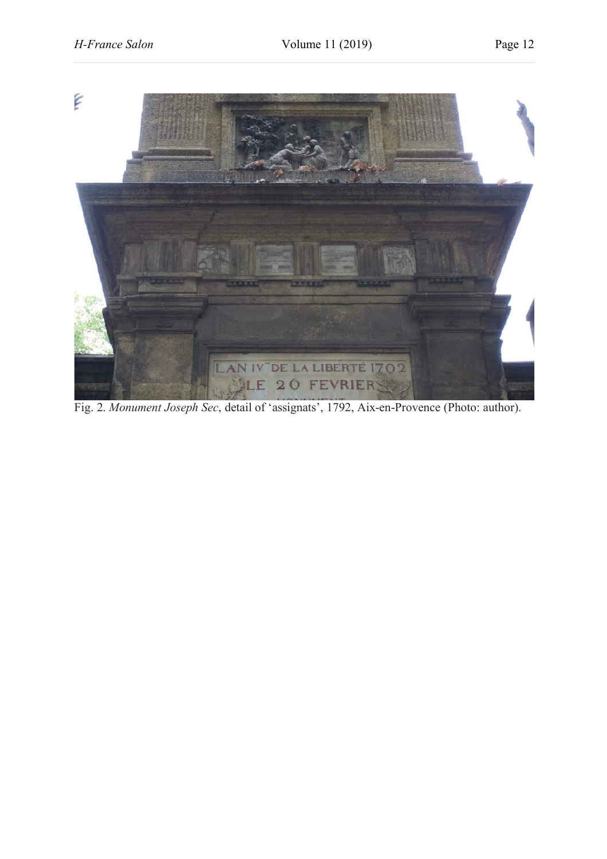

Fig. 2. *Monument Joseph Sec*, detail of 'assignats', 1792, Aix-en-Provence (Photo: author).